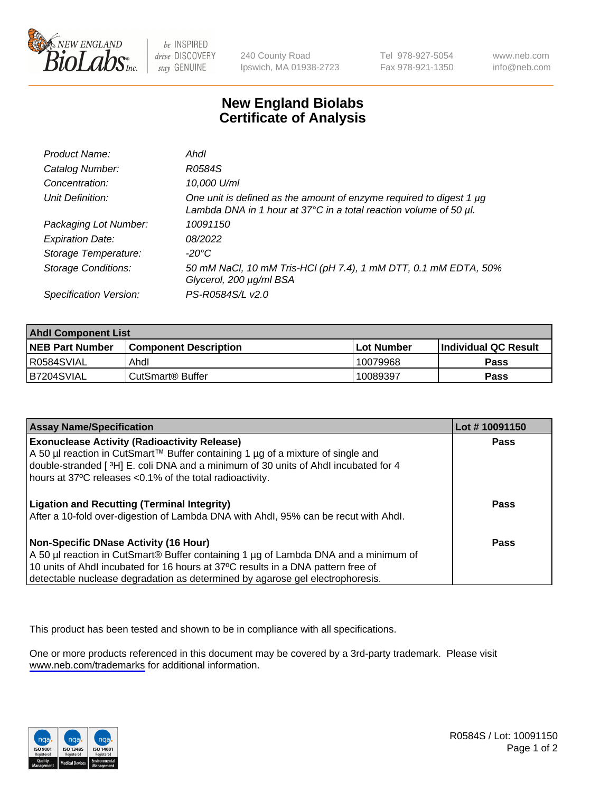

be INSPIRED drive DISCOVERY stay GENUINE

240 County Road Ipswich, MA 01938-2723 Tel 978-927-5054 Fax 978-921-1350

www.neb.com info@neb.com

## **New England Biolabs Certificate of Analysis**

| Product Name:              | Ahdl                                                                                                                                     |
|----------------------------|------------------------------------------------------------------------------------------------------------------------------------------|
| Catalog Number:            | R0584S                                                                                                                                   |
| Concentration:             | 10,000 U/ml                                                                                                                              |
| Unit Definition:           | One unit is defined as the amount of enzyme required to digest 1 µg<br>Lambda DNA in 1 hour at 37°C in a total reaction volume of 50 µl. |
| Packaging Lot Number:      | 10091150                                                                                                                                 |
| <b>Expiration Date:</b>    | 08/2022                                                                                                                                  |
| Storage Temperature:       | -20°C                                                                                                                                    |
| <b>Storage Conditions:</b> | 50 mM NaCl, 10 mM Tris-HCl (pH 7.4), 1 mM DTT, 0.1 mM EDTA, 50%<br>Glycerol, 200 µg/ml BSA                                               |
| Specification Version:     | PS-R0584S/L v2.0                                                                                                                         |

| <b>Ahdl Component List</b> |                              |             |                             |  |
|----------------------------|------------------------------|-------------|-----------------------------|--|
| <b>NEB Part Number</b>     | <b>Component Description</b> | ⊺Lot Number | <b>Individual QC Result</b> |  |
| R0584SVIAL                 | Ahdl                         | 10079968    | Pass                        |  |
| B7204SVIAL                 | l CutSmart® Buffer           | 10089397    | Pass                        |  |

| <b>Assay Name/Specification</b>                                                                                                                                                                                                                                                                   | Lot #10091150 |
|---------------------------------------------------------------------------------------------------------------------------------------------------------------------------------------------------------------------------------------------------------------------------------------------------|---------------|
| <b>Exonuclease Activity (Radioactivity Release)</b><br>A 50 µl reaction in CutSmart™ Buffer containing 1 µg of a mixture of single and<br>double-stranded [3H] E. coli DNA and a minimum of 30 units of Ahdl incubated for 4<br>hours at 37°C releases <0.1% of the total radioactivity.          | <b>Pass</b>   |
| <b>Ligation and Recutting (Terminal Integrity)</b><br>After a 10-fold over-digestion of Lambda DNA with Ahdl, 95% can be recut with Ahdl.                                                                                                                                                         | Pass          |
| Non-Specific DNase Activity (16 Hour)<br>A 50 µl reaction in CutSmart® Buffer containing 1 µg of Lambda DNA and a minimum of<br>10 units of Ahdl incubated for 16 hours at 37°C results in a DNA pattern free of<br>detectable nuclease degradation as determined by agarose gel electrophoresis. | Pass          |

This product has been tested and shown to be in compliance with all specifications.

One or more products referenced in this document may be covered by a 3rd-party trademark. Please visit <www.neb.com/trademarks>for additional information.